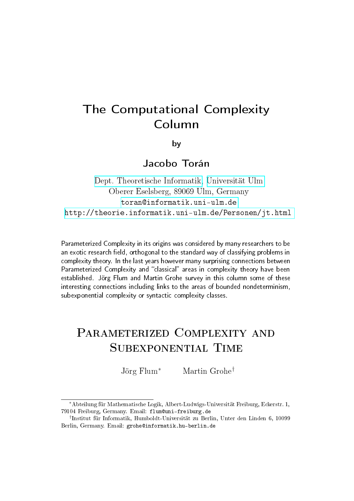# The Computational Complexity Column

by

# Jacobo Torán

[Dept. Theoretische Informatik,](http://informatik.uni-ulm.de) [Universität Ulm](http://www.uni-ulm.de) Oberer Eselsberg, 89069 Ulm, Germany <toran@informatik.uni-ulm.de> <http://theorie.informatik.uni-ulm.de/Personen/jt.html>

Parameterized Complexity in its origins was considered by many researchers to be an exotic research field, orthogonal to the standard way of classifying problems in complexity theory. In the last years however many surprising connections between Parameterized Complexity and "classical" areas in complexity theory have been established. Jörg Flum and Martin Grohe survey in this column some of these interesting connections including links to the areas of bounded nondeterminism, subexponential complexity or syntactic complexity classes.

# PARAMETERIZED COMPLEXITY AND Subexponential Time

Jörg Flum<sup>∗</sup> Martin Grohe†

<sup>∗</sup>Abteilung für Mathematische Logik, Albert-Ludwigs-Universität Freiburg, Eckerstr. 1, 79104 Freiburg, Germany. Email: flum@uni-freiburg.de

<sup>†</sup> Institut für Informatik, Humboldt-Universität zu Berlin, Unter den Linden 6, 10099 Berlin, Germany. Email: grohe@informatik.hu-berlin.de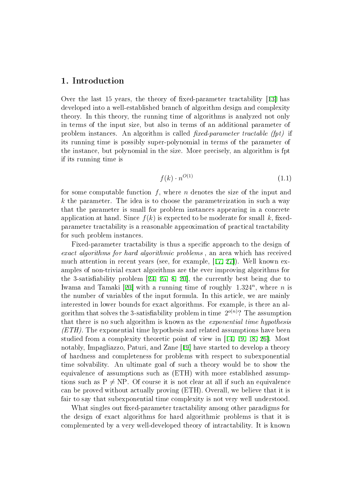# 1. Introduction

Over the last 15 years, the theory of fixed-parameter tractability  $[13]$  $[13]$  has developed into a well-established branch of algorithm design and complexity theory. In this theory, the running time of algorithms is analyzed not only in terms of the input size, but also in terms of an additional parameter of problem instances. An algorithm is called  $fixed-parameter\ tractable$  (fpt) if its running time is possibly super-polynomial in terms of the parameter of the instance, but polynomial in the size. More precisely, an algorithm is fpt if its running time is

$$
f(k) \cdot n^{O(1)} \tag{1.1}
$$

<span id="page-1-0"></span>for some computable function  $f$ , where  $n$  denotes the size of the input and  $k$  the parameter. The idea is to choose the parameterization in such a way that the parameter is small for problem instances appearing in a concrete application at hand. Since  $f(k)$  is expected to be moderate for small k, fixedparameter tractability is a reasonable approximation of practical tractability for such problem instances.

Fixed-parameter tractability is thus a specific approach to the design of exact algorithms for hard algorithmic problems , an area which has received much attention in recent years (see, for example, [[17,](#page-29-1) [27\]](#page-30-0)). Well known examples of non-trivial exact algorithms are the ever improving algorithms for the 3-satisfiability problem  $[24, 25, 8, 20]$  $[24, 25, 8, 20]$  $[24, 25, 8, 20]$  $[24, 25, 8, 20]$  $[24, 25, 8, 20]$  $[24, 25, 8, 20]$  $[24, 25, 8, 20]$  $[24, 25, 8, 20]$ , the currently best being due to Iwama and Tamaki [[20\]](#page-29-3) with a running time of roughly  $1.324^n$ , where n is the number of variables of the input formula. In this article, we are mainly interested in lower bounds for exact algorithms. For example, is there an algorithm that solves the 3-satisfiability problem in time  $2^{o(n)}$ ? The assumption that there is no such algorithm is known as the exponential time hypothesis  $(ETH)$ . The exponential time hypothesis and related assumptions have been studied from a complexity theoretic point of view in [[14,](#page-29-4) [19,](#page-29-5) [18,](#page-29-6) [26\]](#page-30-3). Most notably, Impagliazzo, Paturi, and Zane [[19\]](#page-29-5) have started to develop a theory of hardness and completeness for problems with respect to subexponential time solvability. An ultimate goal of such a theory would be to show the equivalence of assumptions such as (ETH) with more established assumptions such as  $P \neq NP$ . Of course it is not clear at all if such an equivalence can be proved without actually proving (ETH). Overall, we believe that it is fair to say that subexponential time complexity is not very well understood.

What singles out fixed-parameter tractability among other paradigms for the design of exact algorithms for hard algorithmic problems is that it is complemented by a very well-developed theory of intractability. It is known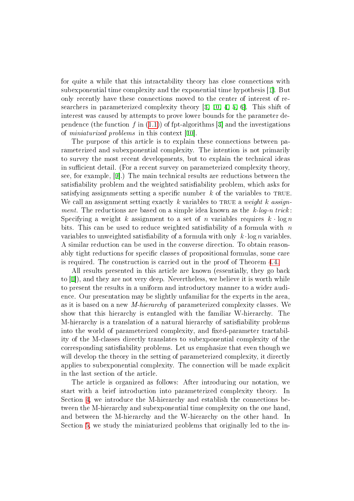for quite a while that this intractability theory has close connections with subexponential time complexity and the exponential time hypothesis [[1\]](#page-28-0). But only recently have these connections moved to the center of interest of researchers in parameterized complexity theory [[3,](#page-28-1) [10,](#page-29-7) [4,](#page-28-2) [5,](#page-28-3) [6\]](#page-28-4). This shift of interest was caused by attempts to prove lower bounds for the parameter dependence (the function f in  $(1.1)$  $(1.1)$ ) of fpt-algorithms [[3\]](#page-28-1) and the investigations of miniaturized problems in this context [[10\]](#page-29-7).

The purpose of this article is to explain these connections between parameterized and subexponential complexity. The intention is not primarily to survey the most recent developments, but to explain the technical ideas in sufficient detail. (For a recent survey on parameterized complexity theory, see, for example, [[9\]](#page-29-8).) The main technical results are reductions between the satisfiability problem and the weighted satisfiability problem, which asks for satisfying assignments setting a specific number  $k$  of the variables to TRUE. We call an assignment setting exactly k variables to TRUE a weight k assignment. The reductions are based on a simple idea known as the  $k\text{-}log\text{-}n$  trick: Specifying a weight k assignment to a set of n variables requires  $k \cdot \log n$ bits. This can be used to reduce weighted satisfiability of a formula with  $n$ variables to unweighted satisfiability of a formula with only  $k \cdot \log n$  variables. A similar reduction can be used in the converse direction. To obtain reasonably tight reductions for specific classes of propositional formulas, some care is required. The construction is carried out in the proof of Theorem [4.4.](#page-13-0)

All results presented in this article are known (essentially, they go back to [[1\]](#page-28-0)), and they are not very deep. Nevertheless, we believe it is worth while to present the results in a uniform and introductory manner to a wider audience. Our presentation may be slightly unfamiliar for the experts in the area, as it is based on a new M-hierarchy of parameterized complexity classes. We show that this hierarchy is entangled with the familiar W-hierarchy. The M-hierarchy is a translation of a natural hierarchy of satisability problems into the world of parameterized complexity, and fixed-parameter tractability of the M-classes directly translates to subexponential complexity of the corresponding satisfiability problems. Let us emphasize that even though we will develop the theory in the setting of parameterized complexity, it directly applies to subexponential complexity. The connection will be made explicit in the last section of the article.

The article is organized as follows: After introducing our notation, we start with a brief introduction into parameterized complexity theory. In Section [4,](#page-10-0) we introduce the M-hierarchy and establish the connections between the M-hierarchy and subexponential time complexity on the one hand, and between the M-hierarchy and the W-hierarchy on the other hand. In Section [5,](#page-17-0) we study the miniaturized problems that originally led to the in-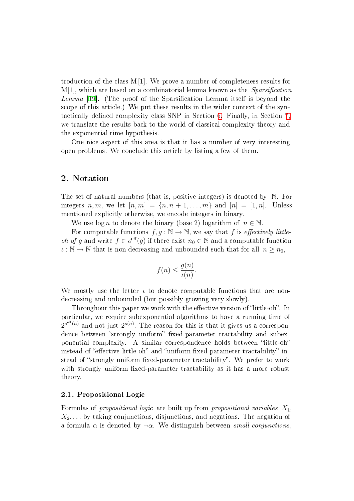troduction of the class  $M[1]$ . We prove a number of completeness results for  $M[1]$ , which are based on a combinatorial lemma known as the *Sparsification* Lemma [\[19\]](#page-29-5). (The proof of the Sparsification Lemma itself is beyond the scope of this article.) We put these results in the wider context of the syn-tactically defined complexity class SNP in Section [6.](#page-22-0) Finally, in Section [7,](#page-25-0) we translate the results back to the world of classical complexity theory and the exponential time hypothesis.

One nice aspect of this area is that it has a number of very interesting open problems. We conclude this article by listing a few of them.

# 2. Notation

The set of natural numbers (that is, positive integers) is denoted by N. For integers n, m, we let  $[n, m] = \{n, n + 1, \ldots, m\}$  and  $[n] = [1, n]$ . Unless mentioned explicitly otherwise, we encode integers in binary.

We use  $\log n$  to denote the binary (base 2) logarithm of  $n \in \mathbb{N}$ .

For computable functions  $f, q : \mathbb{N} \to \mathbb{N}$ , we say that f is *effectively little*oh of g and write  $f \in o^{\text{eff}}(g)$  if there exist  $n_0 \in \mathbb{N}$  and a computable function  $\iota : \mathbb{N} \to \mathbb{N}$  that is non-decreasing and unbounded such that for all  $n \geq n_0$ ,

$$
f(n) \le \frac{g(n)}{\iota(n)}.
$$

We mostly use the letter  $\iota$  to denote computable functions that are nondecreasing and unbounded (but possibly growing very slowly).

Throughout this paper we work with the effective version of "little-oh". In particular, we require subexponential algorithms to have a running time of  $2^{o^{eff}(n)}$  and not just  $2^{o(n)}$ . The reason for this is that it gives us a correspondence between "strongly uniform" fixed-parameter tractability and subexponential complexity. A similar correspondence holds between "little-oh" instead of "effective little-oh" and "uniform fixed-parameter tractability" instead of "strongly uniform fixed-parameter tractability". We prefer to work with strongly uniform fixed-parameter tractability as it has a more robust theory.

#### 2.1 . Propositional Logic

Formulas of propositional logic are built up from propositional variables  $X_1$ ,  $X_2, \ldots$  by taking conjunctions, disjunctions, and negations. The negation of a formula  $\alpha$  is denoted by  $\neg \alpha$ . We distinguish between *small conjunctions*.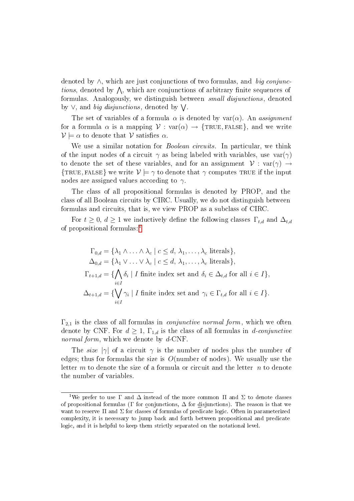denoted by  $\wedge$ , which are just conjunctions of two formulas, and big conjunc*tions*, denoted by  $\Lambda$ , which are conjunctions of arbitrary finite sequences of formulas. Analogously, we distinguish between small disjunctions, denoted by  $\vee$ , and *big disjunctions*, denoted by  $\bigvee$ .

The set of variables of a formula  $\alpha$  is denoted by var $(\alpha)$ . An assignment for a formula  $\alpha$  is a mapping  $V : \text{var}(\alpha) \rightarrow \{\text{TRUE}, \text{FALSE}\},$  and we write  $\mathcal{V} \models \alpha$  to denote that  $\mathcal{V}$  satisfies  $\alpha$ .

We use a similar notation for *Boolean circuits*. In particular, we think of the input nodes of a circuit  $\gamma$  as being labeled with variables, use  $var(\gamma)$ to denote the set of these variables, and for an assignment  $V : var(\gamma) \rightarrow$ {TRUE, FALSE} we write  $\mathcal{V} \models \gamma$  to denote that  $\gamma$  computes TRUE if the input nodes are assigned values according to  $\gamma$ .

The class of all propositional formulas is denoted by PROP, and the class of all Boolean circuits by CIRC. Usually, we do not distinguish between formulas and circuits, that is, we view PROP as a subclass of CIRC.

For  $t \geq 0$ ,  $d \geq 1$  we inductively define the following classes  $\Gamma_{t,d}$  and  $\Delta_{t,d}$ of propositional formulas: [1](#page-4-0)

$$
\Gamma_{0,d} = \{\lambda_1 \wedge \ldots \wedge \lambda_c \mid c \leq d, \lambda_1, \ldots, \lambda_c \text{ literals}\},
$$
  
\n
$$
\Delta_{0,d} = \{\lambda_1 \vee \ldots \vee \lambda_c \mid c \leq d, \lambda_1, \ldots, \lambda_c \text{ literals}\},
$$
  
\n
$$
\Gamma_{t+1,d} = \{\bigwedge_{i \in I} \delta_i \mid I \text{ finite index set and } \delta_i \in \Delta_{t,d} \text{ for all } i \in I\},
$$
  
\n
$$
\Delta_{t+1,d} = \{\bigvee_{i \in I} \gamma_i \mid I \text{ finite index set and } \gamma_i \in \Gamma_{t,d} \text{ for all } i \in I\}.
$$

 $\Gamma_{2,1}$  is the class of all formulas in *conjunctive normal form*, which we often denote by CNF. For  $d \geq 1$ ,  $\Gamma_{1,d}$  is the class of all formulas in d-conjunctive normal form, which we denote by d-CNF.

The size  $|\gamma|$  of a circuit  $\gamma$  is the number of nodes plus the number of edges; thus for formulas the size is  $O(n$ umber of nodes). We usually use the letter  $m$  to denote the size of a formula or circuit and the letter  $n$  to denote the number of variables.

<span id="page-4-0"></span><sup>&</sup>lt;sup>1</sup>We prefer to use  $\Gamma$  and  $\Delta$  instead of the more common  $\Pi$  and  $\Sigma$  to denote classes of propositional formulas (Γ for conjunctions,  $\Delta$  for disjunctions). The reason is that we want to reserve  $\Pi$  and  $\Sigma$  for classes of formulas of predicate logic. Often in parameterized complexity, it is necessary to jump back and forth between propositional and predicate logic, and it is helpful to keep them strictly separated on the notational level.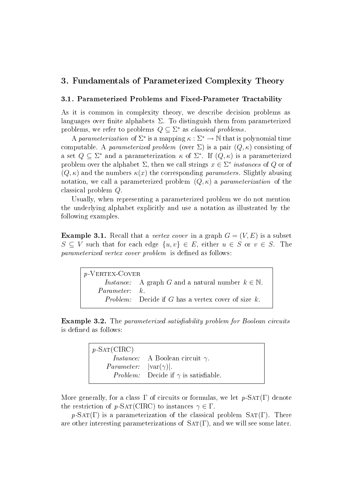# 3. Fundamentals of Parameterized Complexity Theory

#### 3.1 . Parameterized Problems and Fixed-Parameter Tractability

As it is common in complexity theory, we describe decision problems as languages over finite alphabets  $\Sigma$ . To distinguish them from parameterized problems, we refer to problems  $Q \subseteq \Sigma^*$  as *classical problems*.

A parameterization of  $\Sigma^*$  is a mapping  $\kappa : \Sigma^* \to \mathbb{N}$  that is polynomial time computable. A parameterized problem (over  $\Sigma$ ) is a pair  $(Q, \kappa)$  consisting of a set  $Q \subseteq \Sigma^*$  and a parameterization  $\kappa$  of  $\Sigma^*$ . If  $(Q, \kappa)$  is a parameterized problem over the alphabet  $\Sigma$ , then we call strings  $x \in \Sigma^*$  instances of Q or of  $(Q, \kappa)$  and the numbers  $\kappa(x)$  the corresponding parameters. Slightly abusing notation, we call a parameterized problem  $(Q, \kappa)$  a *parameterization* of the classical problem Q.

Usually, when representing a parameterized problem we do not mention the underlying alphabet explicitly and use a notation as illustrated by the following examples.

<span id="page-5-0"></span>**Example 3.1.** Recall that a vertex cover in a graph  $G = (V, E)$  is a subset  $S \subseteq V$  such that for each edge  $\{u, v\} \in E$ , either  $u \in S$  or  $v \in S$ . The parameterized vertex cover problem is defined as follows:

| $p$ -VERTEX-COVER    |                                                                      |  |
|----------------------|----------------------------------------------------------------------|--|
|                      | <i>Instance:</i> A graph G and a natural number $k \in \mathbb{N}$ . |  |
| <i>Parameter:</i> k. |                                                                      |  |
|                      | <i>Problem:</i> Decide if G has a vertex cover of size $k$ .         |  |

**Example 3.2.** The parameterized satisfiability problem for Boolean circuits is defined as follows:

| $p\text{-SAT}(\text{CIRC})$                |                                                    |
|--------------------------------------------|----------------------------------------------------|
|                                            | <i>Instance:</i> A Boolean circuit $\gamma$ .      |
| <i>Parameter:</i> $ \text{var}(\gamma) $ . |                                                    |
|                                            | <i>Problem:</i> Decide if $\gamma$ is satisfiable. |
|                                            |                                                    |

More generally, for a class  $\Gamma$  of circuits or formulas, we let  $p$ -SAT(Γ) denote the restriction of  $p$ -SAT(CIRC) to instances  $\gamma \in \Gamma$ .

 $p$ -SAT(Γ) is a parameterization of the classical problem SAT(Γ). There are other interesting parameterizations of  $SAT(\Gamma)$ , and we will see some later.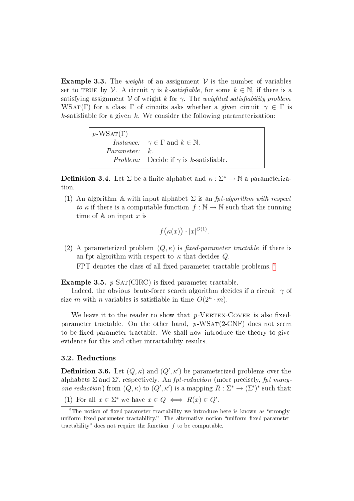**Example 3.3.** The weight of an assignment  $V$  is the number of variables set to TRUE by V. A circuit  $\gamma$  is k-satisfiable, for some  $k \in \mathbb{N}$ , if there is a satisfying assignment V of weight k for  $\gamma$ . The weighted satisfiability problem WSAT(Γ) for a class Γ of circuits asks whether a given circuit  $\gamma \in \Gamma$  is  $k$ -satisfiable for a given  $k$ . We consider the following parameterization:

> $p$ -WSAT(Γ) *Instance:*  $\gamma \in \Gamma$  and  $k \in \mathbb{N}$ . Parameter: *Problem:* Decide if  $\gamma$  is *k*-satisfiable.

**Definition 3.4.** Let  $\Sigma$  be a finite alphabet and  $\kappa : \Sigma^* \to \mathbb{N}$  a parameterization.

(1) An algorithm A with input alphabet  $\Sigma$  is an fpt-algorithm with respect to  $\kappa$  if there is a computable function  $f : \mathbb{N} \to \mathbb{N}$  such that the running time of  $A$  on input x is

$$
f(\kappa(x)) \cdot |x|^{O(1)}.
$$

(2) A parameterized problem  $(Q, \kappa)$  is fixed-parameter tractable if there is an fpt-algorithm with respect to  $\kappa$  that decides  $Q$ . FPT denotes the class of all fixed-parameter tractable problems.<sup>[2](#page-6-0)</sup>

#### Example 3.5.  $p$ -SAT(CIRC) is fixed-parameter tractable.

Indeed, the obvious brute-force search algorithm decides if a circuit  $\gamma$  of size m with n variables is satisfiable in time  $O(2^n \cdot m)$ .

We leave it to the reader to show that  $p$ -VERTEX-COVER is also fixedparameter tractable. On the other hand,  $p$ -WSAT(2-CNF) does not seem to be fixed-parameter tractable. We shall now introduce the theory to give evidence for this and other intractability results.

#### 3.2 . Reductions

**Definition 3.6.** Let  $(Q, \kappa)$  and  $(Q', \kappa')$  be parameterized problems over the alphabets  $\Sigma$  and  $\Sigma'$ , respectively. An *fpt-reduction* (more precisely, *fpt many*one reduction) from  $(Q, \kappa)$  to  $(Q', \kappa')$  is a mapping  $R : \Sigma^* \to (\Sigma')^*$  such that:

<sup>(1)</sup> For all  $x \in \Sigma^*$  we have  $x \in Q \iff R(x) \in Q'$ .

<span id="page-6-0"></span><sup>&</sup>lt;sup>2</sup>The notion of fixed-parameter tractability we introduce here is known as "strongly uniform fixed-parameter tractability." The alternative notion "uniform fixed-parameter tractability" does not require the function  $f$  to be computable.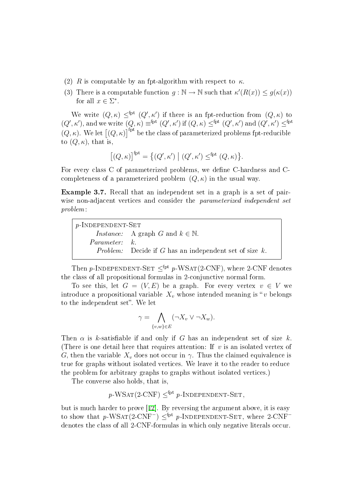- (2) R is computable by an fpt-algorithm with respect to  $\kappa$ .
- (3) There is a computable function  $g : \mathbb{N} \to \mathbb{N}$  such that  $\kappa'(R(x)) \leq g(\kappa(x))$ for all  $x \in \Sigma^*$ .

We write  $(Q, \kappa) \leq^{\text{fpt}} (Q', \kappa')$  if there is an fpt-reduction from  $(Q, \kappa)$  to  $(Q', \kappa')$ , and we write  $(Q, \kappa) \equiv^{\text{fpt}} (Q', \kappa')$  if  $(Q, \kappa) \leq^{\text{fpt}} (Q', \kappa')$  and  $(Q', \kappa') \leq^{\text{fpt}}$  $(Q, \kappa)$ . We let  $[(Q, \kappa)]^{\text{fpt}}$  be the class of parameterized problems fpt-reducible to  $(Q, \kappa)$ , that is,

$$
[(Q,\kappa)]^{\text{fpt}} = \{ (Q',\kappa') \mid (Q',\kappa') \leq^{\text{fpt}} (Q,\kappa) \}.
$$

For every class C of parameterized problems, we define C-hardness and Ccompleteness of a parameterized problem  $(Q, \kappa)$  in the usual way.

Example 3.7. Recall that an independent set in a graph is a set of pairwise non-adjacent vertices and consider the *parameterized independent set* problem:

| $p$ -INDEPENDENT-SET |                                                                    |
|----------------------|--------------------------------------------------------------------|
|                      | <i>Instance:</i> A graph G and $k \in \mathbb{N}$ .                |
| <i>Parameter:</i> k. |                                                                    |
|                      | <i>Problem:</i> Decide if $G$ has an independent set of size $k$ . |

Then p-INDEPENDENT-SET  $\leq^{fpt} p$ -WSAT(2-CNF), where 2-CNF denotes the class of all propositional formulas in 2-conjunctive normal form.

To see this, let  $G = (V, E)$  be a graph. For every vertex  $v \in V$  we introduce a propositional variable  $X_v$  whose intended meaning is "v belongs to the independent set". We let

$$
\gamma = \bigwedge_{\{v,w\} \in E} (\neg X_v \lor \neg X_w).
$$

Then  $\alpha$  is k-satisfiable if and only if G has an independent set of size k. (There is one detail here that requires attention: If  $v$  is an isolated vertex of G, then the variable  $X_v$  does not occur in  $\gamma$ . Thus the claimed equivalence is true for graphs without isolated vertices. We leave it to the reader to reduce the problem for arbitrary graphs to graphs without isolated vertices.)

The converse also holds, that is,

$$
p
$$
-WSAT(2-CNF)  $\leq^{fpt} p$ -INDEPENDENT-SET,

but is much harder to prove [[12\]](#page-29-9). By reversing the argument above, it is easy to show that  $p$ -WSAT(2-CNF<sup>-</sup>)  $\leq^{fpt} p$ -INDEPENDENT-SET, where 2-CNF<sup>-</sup> denotes the class of all 2-CNF-formulas in which only negative literals occur.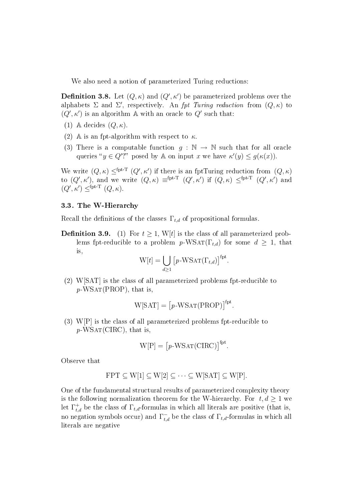We also need a notion of parameterized Turing reductions:

**Definition 3.8.** Let  $(Q, \kappa)$  and  $(Q', \kappa')$  be parameterized problems over the alphabets  $\Sigma$  and  $\Sigma'$ , respectively. An fpt Turing reduction from  $(Q, \kappa)$  to  $(Q', \kappa')$  is an algorithm A with an oracle to  $Q'$  such that:

- (1) A decides  $(Q, \kappa)$ .
- (2) A is an fpt-algorithm with respect to  $\kappa$ .
- (3) There is a computable function  $q : \mathbb{N} \to \mathbb{N}$  such that for all oracle queries " $y \in Q'$ ?" posed by A on input x we have  $\kappa'(y) \le g(\kappa(x))$ .

We write  $(Q, \kappa) \leq^{\text{fpt-T}} (Q', \kappa')$  if there is an fptTuring reduction from  $(Q, \kappa)$ to  $(Q',\kappa')$ , and we write  $(Q,\kappa) \equiv^{\text{fpt-T}} (Q',\kappa')$  if  $(Q,\kappa) \leq^{\text{fpt-T}} (Q',\kappa')$  and  $(Q', \kappa') \leq^{\text{fpt-T}} (Q, \kappa).$ 

#### 3.3 . The W-Hierarchy

Recall the definitions of the classes  $\Gamma_{t,d}$  of propositional formulas.

**Definition 3.9.** (1) For  $t \geq 1$ , W[t] is the class of all parameterized problems fpt-reducible to a problem  $p$ -WSAT(Γ<sub>t,d</sub>) for some  $d \geq 1$ , that is,

$$
W[t] = \bigcup_{d \ge 1} [p\text{-WSAT}(\Gamma_{t,d})]^{fpt}.
$$

(2) W[SAT] is the class of all parameterized problems fpt-reducible to  $p$ -WSAT(PROP), that is,

$$
W[SAT] = [p-WSAT(PROP)]fpt.
$$

(3) W[P] is the class of all parameterized problems fpt-reducible to  $p$ -WSAT(CIRC), that is,

$$
W[P] = [p-WSAT(CIRC)]^{fpt}.
$$

Observe that

$$
FPT \subseteq W[1] \subseteq W[2] \subseteq \cdots \subseteq W[SAT] \subseteq W[P].
$$

<span id="page-8-0"></span>One of the fundamental structural results of parameterized complexity theory is the following normalization theorem for the W-hierarchy. For  $t, d \geq 1$  we let  $\Gamma^+_{t,d}$  be the class of  $\Gamma_{t,d}$ -formulas in which all literals are positive (that is, no negation symbols occur) and  $\Gamma_{t,d}^-$  be the class of  $\Gamma_{t,d}$ -formulas in which all literals are negative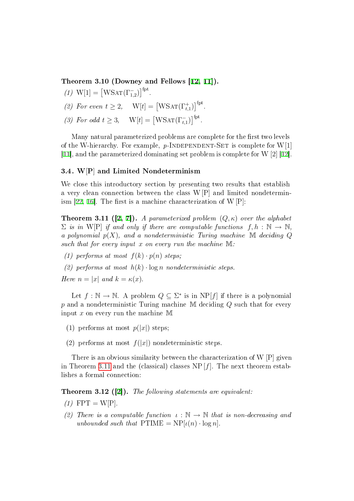Theorem 3.10 (Downey and Fellows [[12,](#page-29-9) [11\]](#page-29-10)).

- (1)  $W[1] = [WSAT(\Gamma_{1,2}^{-})]^{fpt}$ .
- (2) For even  $t \geq 2$ ,  $W[t] = [WSAT(\Gamma_{t,1}^+)]^{\text{fpt}}$ .
- (3) For odd  $t \geq 3$ ,  $W[t] = [WSAT(\Gamma_{t,1})]^{fpt}$ .

Many natural parameterized problems are complete for the first two levels of the W-hierarchy. For example,  $p$ -INDEPENDENT-SET is complete for W[1] [\[11\]](#page-29-10), and the parameterized dominating set problem is complete for W [2] [\[12\]](#page-29-9).

#### 3.4 . W[P] and Limited Nondeterminism

We close this introductory section by presenting two results that establish a very clean connection between the class W[P] and limited nondetermin-ism [[22](#page-30-4), [16\]](#page-29-11). The first is a machine characterization of W  $[P]$ :

<span id="page-9-0"></span>**Theorem 3.11 ([[2,](#page-28-5) [7\]](#page-28-6)).** A parameterized problem  $(Q, \kappa)$  over the alphabet  $\Sigma$  is in W[P] if and only if there are computable functions  $f, h : \mathbb{N} \to \mathbb{N}$ , a polynomial  $p(X)$ , and a nondeterministic Turing machine M deciding Q such that for every input x on every run the machine  $M$ :

- (1) performs at most  $f(k) \cdot p(n)$  steps;
- (2) performs at most  $h(k) \cdot \log n$  nondeterministic steps.

Here  $n = |x|$  and  $k = \kappa(x)$ .

Let  $f : \mathbb{N} \to \mathbb{N}$ . A problem  $Q \subseteq \Sigma^*$  is in  $NP[f]$  if there is a polynomial  $p$  and a nondeterministic Turing machine M deciding  $Q$  such that for every input  $x$  on every run the machine M

- (1) performs at most  $p(|x|)$  steps;
- (2) performs at most  $f(|x|)$  nondeterministic steps.

There is an obvious similarity between the characterization of W [P] given in Theorem [3.11](#page-9-0) and the (classical) classes NP  $[f]$ . The next theorem establishes a formal connection:

<span id="page-9-1"></span>**Theorem 3.12 ([[2\]](#page-28-5)).** The following statements are equivalent:

- $(1)$  FPT = W[P].
- (2) There is a computable function  $\iota : \mathbb{N} \to \mathbb{N}$  that is non-decreasing and unbounded such that  $\text{PTIME} = \text{NP}[\iota(n) \cdot \log n].$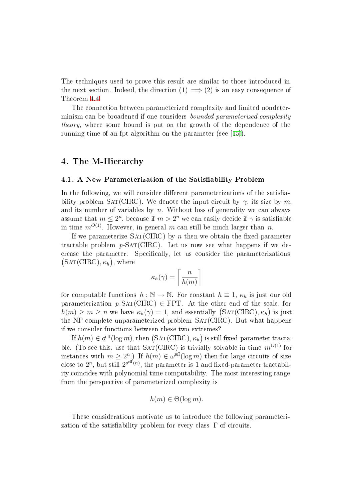The techniques used to prove this result are similar to those introduced in the next section. Indeed, the direction  $(1) \implies (2)$  is an easy consequence of Theorem [4.4.](#page-13-0)

The connection between parameterized complexity and limited nondeterminism can be broadened if one considers bounded parameterized complexity theory, where some bound is put on the growth of the dependence of the running time of an fpt-algorithm on the parameter (see [[15\]](#page-29-12)).

## <span id="page-10-0"></span>4. The M-Hierarchy

#### 4.1. A New Parameterization of the Satisfiability Problem

In the following, we will consider different parameterizations of the satisfiability problem SAT(CIRC). We denote the input circuit by  $\gamma$ , its size by m. and its number of variables by  $n$ . Without loss of generality we can always assume that  $m\leq 2^{n},$  because if  $m>2^{n}$  we can easily decide if  $\gamma$  is satisfiable in time  $m^{O(1)}$ . However, in general m can still be much larger than n.

If we parameterize  $SAT(CIRC)$  by n then we obtain the fixed-parameter tractable problem  $p\text{-SAT}(\text{CIRC})$ . Let us now see what happens if we decrease the parameter. Specifically, let us consider the parameterizations  $(SAT(CIRC), \kappa_h),$  where

$$
\kappa_h(\gamma) = \left\lceil \frac{n}{h(m)} \right\rceil
$$

for computable functions  $h : \mathbb{N} \to \mathbb{N}$ . For constant  $h \equiv 1, \kappa_h$  is just our old parameterization  $p\text{-SAT}(\text{CIRC}) \in \text{FPT}$ . At the other end of the scale, for  $h(m) \geq m \geq n$  we have  $\kappa_h(\gamma) = 1$ , and essentially  $(SAT(CIRC), \kappa_h)$  is just the NP-complete unparameterized problem  $SAT(CIRC)$ . But what happens if we consider functions between these two extremes?

If  $h(m) \in o^{\text{eff}}(\log m)$ , then  $(\text{SAT}(\text{CIRC}), \kappa_h)$  is still fixed-parameter tractable. (To see this, use that  $SAT(CIRC)$  is trivially solvable in time  $m^{O(1)}$  for instances with  $m \geq 2^n$ .) If  $h(m) \in \omega^{\text{eff}}(\log m)$  then for large circuits of size close to  $2^n$ , but still  $2^{o^{eff}(n)}$ , the parameter is 1 and fixed-parameter tractability coincides with polynomial time computability. The most interesting range from the perspective of parameterized complexity is

$$
h(m) \in \Theta(\log m).
$$

These considerations motivate us to introduce the following parameterization of the satisfiability problem for every class  $\Gamma$  of circuits.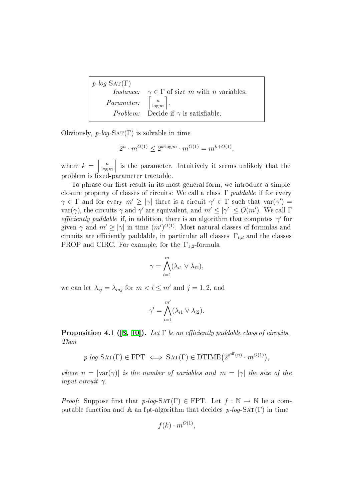$$
p\text{-}log\text{-SAT}(\Gamma)
$$
\n
$$
Instance: \gamma \in \Gamma \text{ of size } m \text{ with } n \text{ variables.}
$$
\n
$$
Parameter: \left[\frac{n}{\log m}\right].
$$
\n
$$
Problem: Decide if \gamma \text{ is satisfiable.}
$$

Obviously,  $p\text{-}log\text{-}SAT(\Gamma)$  is solvable in time

$$
2^n \cdot m^{O(1)} \le 2^{k \cdot \log m} \cdot m^{O(1)} = m^{k + O(1)},
$$

where  $k = \left\lceil \frac{n}{\log n} \right\rceil$  $\left\lfloor \frac{n}{\log m} \right\rfloor$  is the parameter. Intuitively it seems unlikely that the problem is fixed-parameter tractable.

To phrase our first result in its most general form, we introduce a simple closure property of classes of circuits: We call a class  $\Gamma$  paddable if for every  $\gamma \in \Gamma$  and for every  $m' \ge |\gamma|$  there is a circuit  $\gamma' \in \Gamma$  such that  $var(\gamma') =$ var( $\gamma$ ), the circuits  $\gamma$  and  $\gamma'$  are equivalent, and  $m' \leq |\gamma'| \leq O(m')$ . We call  $\Gamma$ efficiently paddable if, in addition, there is an algorithm that computes  $\gamma$  for given  $\gamma$  and  $m' \ge |\gamma|$  in time  $(m')^{O(1)}$ . Most natural classes of formulas and circuits are efficiently paddable, in particular all classes  $\Gamma_{t,d}$  and the classes PROP and CIRC. For example, for the  $\Gamma_{1,2}$ -formula

$$
\gamma = \bigwedge_{i=1}^m (\lambda_{i1} \vee \lambda_{i2}),
$$

we can let  $\lambda_{ij} = \lambda_{mj}$  for  $m < i \leq m'$  and  $j = 1, 2$ , and

$$
\gamma' = \bigwedge_{i=1}^{m'} (\lambda_{i1} \vee \lambda_{i2}).
$$

<span id="page-11-0"></span>**Proposition 4.1 ([[3,](#page-28-1) [10\]](#page-29-7)).** Let  $\Gamma$  be an efficiently paddable class of circuits. Then

$$
p\text{-}log\text{-SAT}(\Gamma) \in \text{FPT} \iff \text{SAT}(\Gamma) \in \text{DTIME}(2^{o^{eff}(n)} \cdot m^{O(1)}),
$$

where  $n = |\text{var}(\gamma)|$  is the number of variables and  $m = |\gamma|$  the size of the input circuit  $\gamma$ .

*Proof:* Suppose first that  $p\text{-}log-SAT(\Gamma) \in FPT$ . Let  $f : \mathbb{N} \to \mathbb{N}$  be a computable function and A an fpt-algorithm that decides  $p$ -log-SAT(Γ) in time

$$
f(k) \cdot m^{O(1)},
$$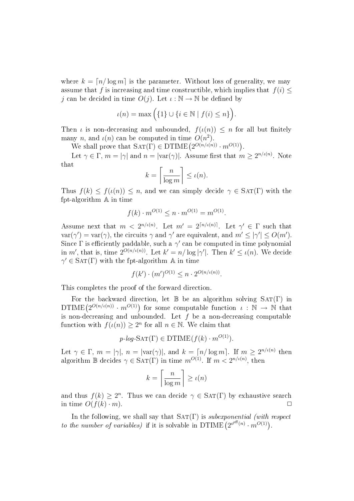where  $k = \lfloor n / \log m \rfloor$  is the parameter. Without loss of generality, we may assume that f is increasing and time constructible, which implies that  $f(i)$  < j can be decided in time  $O(j)$ . Let  $\iota : \mathbb{N} \to \mathbb{N}$  be defined by

$$
\iota(n) = \max\Big(\{1\} \cup \{i \in \mathbb{N} \mid f(i) \le n\}\Big).
$$

Then  $\iota$  is non-decreasing and unbounded,  $f(\iota(n)) \leq n$  for all but finitely many n, and  $\iota(n)$  can be computed in time  $O(n^2)$ .

We shall prove that  $SAT(\Gamma) \in DTIME(2^{O(n/\iota(n))} \cdot m^{O(1)})$ .

Let  $\gamma \in \Gamma$ ,  $m = |\gamma|$  and  $n = |\text{var}(\gamma)|$ . Assume first that  $m \geq 2^{n/\iota(n)}$ . Note that

$$
k = \left\lceil \frac{n}{\log m} \right\rceil \le \iota(n).
$$

Thus  $f(k) \leq f(\iota(n)) \leq n$ , and we can simply decide  $\gamma \in \text{SAT}(\Gamma)$  with the fpt-algorithm A in time

$$
f(k) \cdot m^{O(1)} \le n \cdot m^{O(1)} = m^{O(1)}.
$$

Assume next that  $m < 2^{n/\iota(n)}$ . Let  $m' = 2^{\lceil n/\iota(n) \rceil}$ . Let  $\gamma' \in \Gamma$  such that  $var(\gamma') = var(\gamma)$ , the circuits  $\gamma$  and  $\gamma'$  are equivalent, and  $m' \leq |\gamma'| \leq O(m')$ . Since  $\Gamma$  is efficiently paddable, such a  $\gamma'$  can be computed in time polynomial in m', that is, time  $2^{O(n/\iota(n))}$ . Let  $k' = n/\log|\gamma'|$ . Then  $k' \leq \iota(n)$ . We decide  $\gamma' \in \text{SAT}(\Gamma)$  with the fpt-algorithm A in time

$$
f(k') \cdot (m')^{O(1)} \le n \cdot 2^{O(n/\iota(n))}.
$$

This completes the proof of the forward direction.

For the backward direction, let  $\mathbb B$  be an algorithm solving  $SAT(\Gamma)$  in  $DTIME(2^{O(n/\iota(n))} \cdot m^{O(1)})$  for some computable function  $\iota : \mathbb{N} \to \mathbb{N}$  that is non-decreasing and unbounded. Let  $f$  be a non-decreasing computable function with  $f(\iota(n)) \geq 2^n$  for all  $n \in \mathbb{N}$ . We claim that

$$
p\text{-}log\text{-SAT}(\Gamma) \in \text{DTIME}(f(k) \cdot m^{O(1)}).
$$

Let  $\gamma \in \Gamma$ ,  $m = |\gamma|$ ,  $n = |\text{var}(\gamma)|$ , and  $k = \lceil n/\log m \rceil$ . If  $m \geq 2^{n/\iota(n)}$  then algorithm  $\mathbb B$  decides  $\gamma \in \text{SAT}(\Gamma)$  in time  $m^{O(1)}$ . If  $m < 2^{n/\iota(n)}$ , then

$$
k = \left\lceil \frac{n}{\log m} \right\rceil \ge \iota(n)
$$

and thus  $f(k) \geq 2^n$ . Thus we can decide  $\gamma \in \text{SAT}(\Gamma)$  by exhaustive search in time  $O(f(k) \cdot m)$ .

In the following, we shall say that  $SAT(\Gamma)$  is *subexponential (with respect* to the number of variables) if it is solvable in DTIME  $(2^{o^{eff}(n)} \cdot m^{O(1)})$ .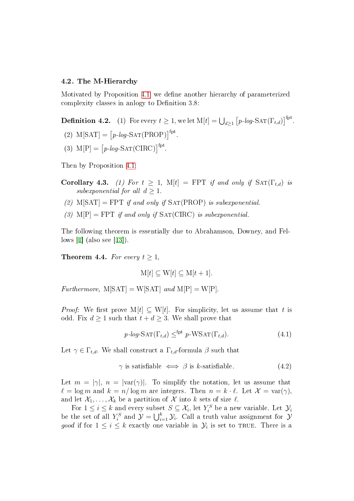#### 4.2 . The M-Hierarchy

Motivated by Proposition [4.1,](#page-11-0) we define another hierarchy of parameterized complexity classes in anlogy to Definition 3.8:

**Definition 4.2.** (1) For every  $t \geq 1$ , we let  $\text{M}[t] = \bigcup_{d \geq 1} \big[p\text{-}log\text{-}\mathrm{SAT}(\Gamma_{t,d})\big]^{\text{fpt}}$ .

- (2)  $M[SAT] = [p-log-SAT(PROP)]<sup>fpt</sup>$ .
- (3)  $M[P] = [p\text{-}log\text{-SAT}(\text{CIRC})]^{fpt}$ .

<span id="page-13-2"></span>Then by Proposition [4.1:](#page-11-0)

- Corollary 4.3. (1) For  $t \geq 1$ ,  $M[t] = FPT$  if and only if  $SAT(\Gamma_{t,d})$  is subexponential for all  $d \geq 1$ .
- (2)  $M[SAT] = FPT$  if and only if  $SAT(PROP)$  is subexponential.
- (3)  $M[P] = FPT$  if and only if  $SAT(CIRC)$  is subexponential.

The following theorem is essentially due to Abrahamson, Downey, and Fellows [[1\]](#page-28-0) (also see [[13\]](#page-29-0)).

<span id="page-13-0"></span>**Theorem 4.4.** For every  $t > 1$ ,

$$
M[t] \subseteq W[t] \subseteq M[t+1].
$$

Furthermore,  $M[SAT] = W[SAT]$  and  $M[P] = W[P]$ .

*Proof:* We first prove M[t]  $\subset$  W[t]. For simplicity, let us assume that t is odd. Fix  $d \geq 1$  such that  $t + d \geq 3$ . We shall prove that

<span id="page-13-1"></span>
$$
p\text{-}log\text{-SAT}(\Gamma_{t,d}) \leq^{\text{fpt}} p\text{-WSAT}(\Gamma_{t,d}).\tag{4.1}
$$

Let  $\gamma \in \Gamma_{t,d}$ . We shall construct a  $\Gamma_{t,d}$ -formula  $\beta$  such that

$$
\gamma \text{ is satisfiable } \iff \beta \text{ is } k\text{-satisfiable.} \tag{4.2}
$$

Let  $m = |\gamma|, n = |\text{var}(\gamma)|$ . To simplify the notation, let us assume that  $\ell = \log m$  and  $k = n/\log m$  are integers. Then  $n = k \cdot \ell$ . Let  $\mathcal{X} = \text{var}(\gamma)$ , and let  $\mathcal{X}_1, \ldots, \mathcal{X}_k$  be a partition of  $\mathcal X$  into  $k$  sets of size  $\ell$ .

For  $1 \leq i \leq k$  and every subset  $S \subseteq \mathcal{X}_i$ , let  $Y_i^S$  be a new variable. Let  $\mathcal{Y}_i$ be the set of all  $Y_i^S$  and  $\mathcal{Y} = \bigcup_{i=1}^k \mathcal{Y}_i$ . Call a truth value assignment for  $\mathcal{Y}$ good if for  $1 \leq i \leq k$  exactly one variable in  $\mathcal{Y}_i$  is set to TRUE. There is a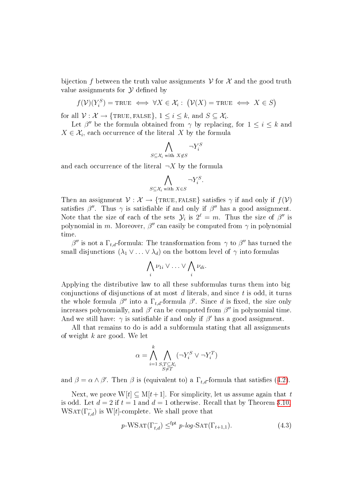bijection f between the truth value assignments  $\mathcal V$  for  $\mathcal X$  and the good truth value assignments for  $\mathcal Y$  defined by

$$
f(\mathcal{V})(Y_i^S) = \text{TRUE} \iff \forall X \in \mathcal{X}_i : (\mathcal{V}(X) = \text{TRUE} \iff X \in S)
$$

for all  $\mathcal{V}: \mathcal{X} \to \{\text{TRUE}, \text{FALSE}\}, 1 \leq i \leq k$ , and  $S \subseteq \mathcal{X}_i$ .

Let  $\beta''$  be the formula obtained from  $\gamma$  by replacing, for  $1 \leq i \leq k$  and  $X \in \mathcal{X}_i$ , each occurrence of the literal X by the formula

$$
\bigwedge_{S \subseteq \mathcal{X}_i \text{ with } X \not\in S} \neg Y_i^S
$$

and each occurrence of the literal  $\neg X$  by the formula

$$
\bigwedge_{S \subseteq \mathcal{X}_i \text{ with } X \in S} \neg Y_i^S.
$$

Then an assignment  $\mathcal{V}: \mathcal{X} \to \{\text{TRUE}, \text{FALSE}\}\$  satisfies  $\gamma$  if and only if  $f(\mathcal{V})$ satisfies  $\beta''$ . Thus  $\gamma$  is satisfiable if and only if  $\beta''$  has a good assignment. Note that the size of each of the sets  $\mathcal{Y}_i$  is  $2^{\ell} = m$ . Thus the size of  $\beta''$  is polynomial in m. Moreover,  $\beta''$  can easily be computed from  $\gamma$  in polynomial time.

β<sup>*n*</sup> is not a Γ<sub>t,d</sub>-formula: The transformation from  $\gamma$  to β<sup>*n*</sup> has turned the small disjunctions  $(\lambda_1 \vee \ldots \vee \lambda_d)$  on the bottom level of  $\gamma$  into formulas

$$
\bigwedge_i \nu_{1i} \vee \ldots \vee \bigwedge_i \nu_{di}.
$$

Applying the distributive law to all these subformulas turns them into big conjunctions of disjunctions of at most  $d$  literals, and since  $t$  is odd, it turns the whole formula  $\beta''$  into a  $\Gamma_{t,d}$ -formula  $\beta'$ . Since d is fixed, the size only increases polynomially, and  $\beta'$  can be computed from  $\beta''$  in polynomial time. And we still have:  $\gamma$  is satisfiable if and only if  $\beta'$  has a good assignment.

All that remains to do is add a subformula stating that all assignments of weight  $k$  are good. We let

$$
\alpha = \bigwedge_{i=1}^k \bigwedge_{\substack{S,T \subseteq \mathcal{X}_i \\ S \neq T}} (\neg Y_i^S \vee \neg Y_i^T)
$$

and  $\beta = \alpha \wedge \beta'$ . Then  $\beta$  is (equivalent to) a  $\Gamma_{t,d}$ -formula that satisfies ([4.2\)](#page-13-1).

Next, we prove  $W[t] \subseteq M[t+1]$ . For simplicity, let us assume again that t is odd. Let  $d = 2$  if  $t = 1$  and  $d = 1$  otherwise. Recall that by Theorem [3.10,](#page-8-0)  $\text{WSAT}(\Gamma_{t,d}^-)$  is W[t]-complete. We shall prove that

$$
p\text{-WSAT}(\Gamma_{t,d}^-) \leq^{\text{fpt}} p\text{-}log\text{-SAT}(\Gamma_{t+1,1}).\tag{4.3}
$$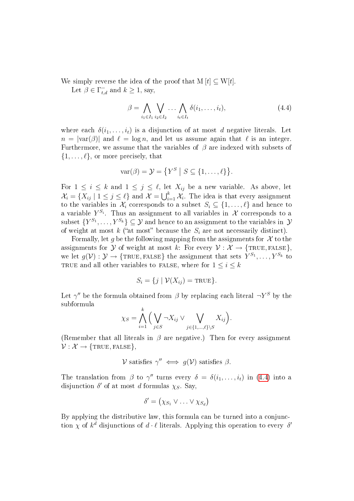We simply reverse the idea of the proof that  $M[t] \subseteq W[t]$ .

Let  $\beta \in \Gamma_{t,d}^-$  and  $k \ge 1$ , say,

<span id="page-15-0"></span>
$$
\beta = \bigwedge_{i_1 \in I_1} \bigvee_{i_2 \in I_2} \dots \bigwedge_{i_t \in I_t} \delta(i_1, \dots, i_t), \tag{4.4}
$$

where each  $\delta(i_1,\ldots,i_t)$  is a disjunction of at most d negative literals. Let  $n = |\text{var}(\beta)|$  and  $\ell = \log n$ , and let us assume again that  $\ell$  is an integer. Furthermore, we assume that the variables of  $\beta$  are indexed with subsets of  $\{1, \ldots, \ell\}$ , or more precisely, that

$$
var(\beta) = \mathcal{Y} = \{ Y^S \mid S \subseteq \{1, ..., \ell\} \}.
$$

For  $1 \leq i \leq k$  and  $1 \leq j \leq \ell$ , let  $X_{ij}$  be a new variable. As above, let  $\mathcal{X}_i = \{X_{ij} \mid 1 \leq j \leq \ell\}$  and  $\mathcal{X} = \bigcup_{i=1}^k \mathcal{X}_i$ . The idea is that every assignment to the variables in  $\mathcal{X}_i$  corresponds to a subset  $S_i \subseteq \{1, \ldots, \ell\}$  and hence to a variable  $Y^{S_i}$ . Thus an assignment to all variables in  $\mathcal X$  corresponds to a subset  $\{Y^{S_1}, \ldots, Y^{S_k}\} \subseteq \mathcal{Y}$  and hence to an assignment to the variables in  $\mathcal{Y}$ of weight at most k ("at most" because the  $S_i$  are not necessarily distinct).

Formally, let g be the following mapping from the assignments for  $\mathcal X$  to the assignments for  $\mathcal Y$  of weight at most k: For every  $\mathcal V : \mathcal X \to \{\text{TRUE}, \text{FALSE}\},$ we let  $g(\mathcal{V}): \mathcal{Y} \to \{\texttt{TRUE}, \texttt{FALSE}\}\$  the assignment that sets  $\tilde{Y}^{S_1}, \ldots, Y^{S_k}$  to TRUE and all other variables to FALSE, where for  $1 \leq i \leq k$ 

$$
S_i = \{ j \mid \mathcal{V}(X_{ij}) = \text{TRUE} \}.
$$

Let  $\gamma''$  be the formula obtained from  $\beta$  by replacing each literal  $\neg Y^S$  by the subformula k

$$
\chi_S = \bigwedge_{i=1}^{\kappa} \Big( \bigvee_{j \in S} \neg X_{ij} \vee \bigvee_{j \in \{1, \dots, \ell\} \setminus S} X_{ij} \Big).
$$

(Remember that all literals in  $\beta$  are negative.) Then for every assignment  $V: \mathcal{X} \rightarrow \{\texttt{TRUE}, \texttt{FALSE}\},$ 

$$
\mathcal{V} \text{ satisfies } \gamma'' \iff g(\mathcal{V}) \text{ satisfies } \beta.
$$

The translation from  $\beta$  to  $\gamma''$  turns every  $\delta = \delta(i_1, \ldots, i_t)$  in ([4.4\)](#page-15-0) into a disjunction  $\delta'$  of at most d formulas  $\chi_S$ . Say,

$$
\delta' = (\chi_{S_1} \vee \ldots \vee \chi_{S_d})
$$

By applying the distributive law, this formula can be turned into a conjunction  $\chi$  of  $k^d$  disjunctions of  $d \cdot \ell$  literals. Applying this operation to every  $\delta'$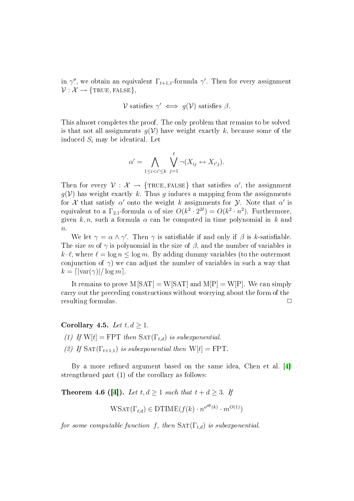in  $\gamma''$ , we obtain an equivalent  $\Gamma_{t+1,1}$ -formula  $\gamma'$ . Then for every assignment  $\mathcal{V}: \mathcal{X} \rightarrow \{\texttt{TRUE}, \texttt{FALSE}\},\$ 

$$
\mathcal{V} \text{ satisfies } \gamma' \iff g(\mathcal{V}) \text{ satisfies } \beta.
$$

This almost completes the proof. The only problem that remains to be solved is that not all assignments  $g(V)$  have weight exactly k, because some of the induced  $S_i$  may be identical. Let

$$
\alpha' = \bigwedge_{1 \leq i < i' \leq k} \bigvee_{j=1}^{\ell} \neg (X_{ij} \leftrightarrow X_{i'j}).
$$

Then for every  $V: \mathcal{X} \to \{\text{TRUE}, \text{FALSE}\}\$  that satisfies  $\alpha'$ , the assignment  $g(V)$  has weight exactly k. Thus g induces a mapping from the assignments for  $\mathcal X$  that satisfy  $\alpha'$  onto the weight k assignments for  $\mathcal Y$ . Note that  $\alpha'$  is equivalent to a  $\Gamma_{2,1}$ -formula  $\alpha$  of size  $O(k^2 \cdot 2^{2\ell}) = O(k^2 \cdot n^2)$ . Furthermore, given k, n, such a formula  $\alpha$  can be computed in time polynomial in k and  $\boldsymbol{n}$ .

We let  $\gamma = \alpha \wedge \gamma'$ . Then  $\gamma$  is satisfiable if and only if  $\beta$  is k-satisfiable. The size m of  $\gamma$  is polynomial in the size of  $\beta$ , and the number of variables is  $k \cdot \ell$ , where  $\ell = \log n \le \log m$ . By adding dummy variables (to the outermost conjunction of  $\gamma$ ) we can adjust the number of variables in such a way that  $k = \lfloor \frac{\text{var}(\gamma)}{\text{log }m} \rfloor$ .

It remains to prove  $M[SAT] = W[SAT]$  and  $M[P] = W[P]$ . We can simply carry out the preceding constructions without worrying about the form of the resulting formulas.

Corollary 4.5. Let  $t, d \geq 1$ .

(1) If  $W[t] = FPT$  then  $SAT(\Gamma_{t,d})$  is subexponential. (2) If  $\text{SAT}(\Gamma_{t+1,1})$  is subexponential then  $W[t] = FPT$ .

By a more refined argument based on the same idea, Chen et al. [[4\]](#page-28-2) strengthened part (1) of the corollary as follows:

**Theorem 4.6 ([[4\]](#page-28-2)).** Let  $t, d \geq 1$  such that  $t + d \geq 3$ . If

 $W\text{SAT}(\Gamma_{t,d}) \in \text{DTIME}(f(k) \cdot n^{o^{eff}(k)} \cdot m^{O(1)})$ 

for some computable function f, then  $\text{SAT}(\Gamma_{t,d})$  is suberponential.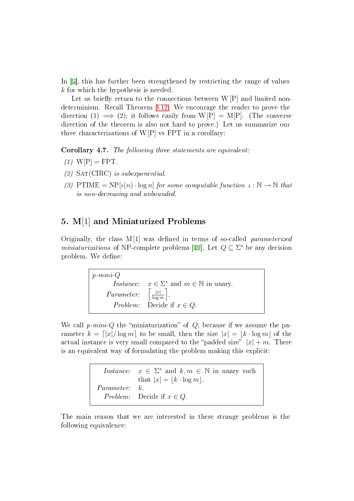In [\[5\]](#page-28-3), this has further been strengthened by restricting the range of values k for which the hypothesis is needed.

Let us briefly return to the connections between  $W[P]$  and limited nondeterminism. Recall Theorem [3.12.](#page-9-1) We encourage the reader to prove the direction (1)  $\implies$  (2); it follows easily from W[P] = M[P]. (The converse direction of the theorem is also not hard to prove.) Let us summarize our three characterizations of  $W[P]$  vs FPT in a corollary:

Corollary 4.7. The following three statements are equivalent:

- $(1)$  W[P] = FPT.
- $(2)$  SAT(CIRC) is subexponential.
- (3) PTIME =  $NP[\iota(n) \cdot \log n]$  for some computable function  $\iota : \mathbb{N} \to \mathbb{N}$  that is non-decreasing and unbounded.

# <span id="page-17-0"></span>5. M[1] and Miniaturized Problems

Originally, the class  $M[1]$  was defined in terms of so-called *parameterized miniaturizations* of NP-complete problems [[10\]](#page-29-7). Let  $Q \subseteq \Sigma^*$  be any decision problem. We define:

> p-mini-Q *Instance:*  $x \in \Sigma^*$  and  $m \in \mathbb{N}$  in unary. Parameter:  $|x|$  $\frac{|x|}{\log m}$ . *Problem:* Decide if  $x \in Q$ .

We call  $p\text{-}min\text{-}Q$  the "miniaturization" of  $Q$ , because if we assume the parameter  $k = \lfloor |x| / \log m \rfloor$  to be small, then the size  $|x| = |k \cdot \log m|$  of the actual instance is very small compared to the "padded size"  $|x| + m$ . There is an equivalent way of formulating the problem making this explicit:

> $Instance:$ \* and  $k, m \in \mathbb{N}$  in unary such that  $|x| = |k \cdot \log m|$ . Parameter:  $k$ . *Problem:* Decide if  $x \in Q$ .

<span id="page-17-1"></span>The main reason that we are interested in these strange problems is the following equivalence: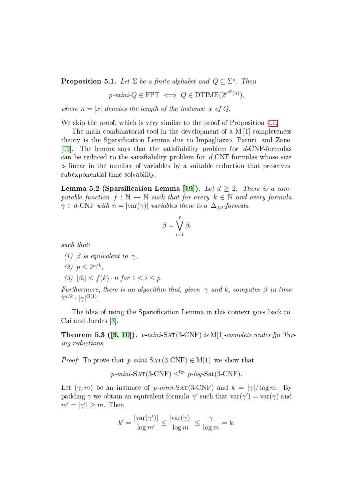**Proposition 5.1.** Let  $\Sigma$  be a finite alphabet and  $Q \subseteq \Sigma^*$ . Then

$$
p\text{-}min\text{-}Q \in \text{FPT} \iff Q \in \text{DTIME}(2^{o^{eff}(n)}),
$$

where  $n = |x|$  denotes the length of the instance x of Q.

We skip the proof, which is very similar to the proof of Proposition [4.1.](#page-11-0)

The main combinatorial tool in the development of a M [1]-completeness theory is the Sparsification Lemma due to Impagliazzo, Paturi, and Zane [\[19\]](#page-29-5). The lemma says that the satisfiability problem for  $d$ -CNF-formulas can be reduced to the satisfiability problem for  $d$ -CNF-formulas whose size is linear in the number of variables by a suitable reduction that preserves subexponential time solvability.

<span id="page-18-0"></span>Lemma 5.2 (Sparsification Lemma [[19\]](#page-29-5)). Let  $d \geq 2$ . There is a computable function  $f : \mathbb{N} \to \mathbb{N}$  such that for every  $k \in \mathbb{N}$  and every formula  $\gamma \in d$ -CNF with  $n = |\text{var}(\gamma)|$  variables there is a  $\Delta_{2,d}$ -formula

$$
\beta = \bigvee_{i=1}^p \beta_i
$$

such that:

- (1)  $\beta$  is equivalent to  $\gamma$ ,
- (2)  $p \leq 2^{n/k}$ ,
- (3)  $|\beta_i| \leq f(k) \cdot n$  for  $1 \leq i \leq p$ .

Furthermore, there is an algorithm that, given  $\gamma$  and k, computes  $\beta$  in time  $2^{n/k} \cdot |\gamma|^{O(1)}$ .

The idea of using the Sparsification Lemma in this context goes back to Cai and Juedes [[3\]](#page-28-1).

<span id="page-18-1"></span>**Theorem 5.3 ([[3,](#page-28-1) [10\]](#page-29-7)).** p-mini-SAT(3-CNF) is M[1]-complete under fpt Turing reductions.

*Proof:* To prove that p-mini-SAT(3-CNF)  $\in M[1]$ , we show that

$$
p\text{-}min\text{-}SAT(3\text{-CNF}) \leq^{fpt} p\text{-}log\text{-}Sat(3\text{-CNF}).
$$

Let  $(\gamma, m)$  be an instance of p-mini-SAT(3-CNF) and  $k = |\gamma| / \log m$ . By padding  $\gamma$  we obtain an equivalent formula  $\gamma'$  such that  $\text{var}(\gamma') = \text{var}(\gamma)$  and  $m' = |\gamma'| \geq m$ . Then

$$
k' = \frac{|\text{var}(\gamma')|}{\log m'} \le \frac{|\text{var}(\gamma)|}{\log m} \le \frac{|\gamma|}{\log m} = k.
$$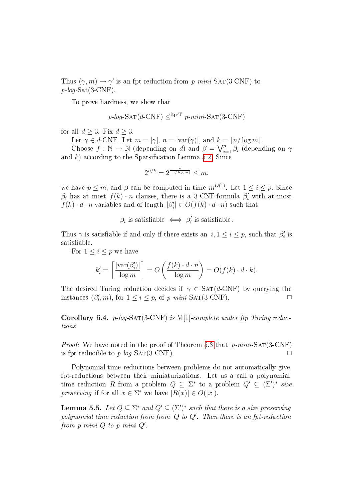Thus  $(\gamma, m) \mapsto \gamma'$  is an fpt-reduction from p-mini-SAT(3-CNF) to  $p$ -log-Sat(3-CNF).

To prove hardness, we show that

$$
p\text{-}log\text{-SAT}(d\text{-CNF}) \leq^{\text{ftp-T}} p\text{-}mini\text{-SAT}(3\text{-CNF})
$$

for all  $d \geq 3$ . Fix  $d \geq 3$ .

Let  $\gamma \in d$ -CNF. Let  $m = |\gamma|, n = |\text{var}(\gamma)|$ , and  $k = \lceil n / \log m \rceil$ .

Choose  $f : \mathbb{N} \to \mathbb{N}$  (depending on d) and  $\beta = \bigvee_{i=1}^p \beta_i$  (depending on  $\gamma$ and k) according to the Sparsification Lemma [5.2.](#page-18-0) Since

$$
2^{n/k} = 2^{\frac{n}{\lceil n/\log m \rceil}} \le m,
$$

we have  $p \leq m$ , and  $\beta$  can be computed in time  $m^{O(1)}$ . Let  $1 \leq i \leq p$ . Since  $\beta_i$  has at most  $f(k) \cdot n$  clauses, there is a 3-CNF-formula  $\beta'_i$  with at most  $f(k) \cdot d \cdot n$  variables and of length  $|\beta'_i|$  $|g_i'|\in O(f(k)\cdot d\cdot n)$  such that

> $\beta_i$  is satisfiable  $\iff \beta'_i$  $s_i'$  is satisfiable.

Thus  $\gamma$  is satisfiable if and only if there exists an  $i, 1 \le i \le p$ , such that  $\beta_i$  $''_i$  is satisfiable.

For  $1 \leq i \leq p$  we have

$$
k'_{i} = \left\lceil \frac{|\text{var}(\beta'_{i})|}{\log m} \right\rceil = O\left(\frac{f(k) \cdot d \cdot n}{\log m}\right) = O(f(k) \cdot d \cdot k).
$$

The desired Turing reduction decides if  $\gamma \in \text{SAT}(d\text{-CNF})$  by querying the instances  $(\beta_i')$  $i'_i, m$ , for  $1 \leq i \leq p$ , of p-mini-SAT(3-CNF).

**Corollary 5.4.** p-log-SAT(3-CNF) is M[1]-complete under ftp Turing reductions.

*Proof:* We have noted in the proof of Theorem [5.3](#page-18-1) that  $p$ -mini-SAT(3-CNF) is fpt-reducible to  $p\text{-}log\text{-SAT}(3\text{-CNF})$ .

Polynomial time reductions between problems do not automatically give fpt-reductions between their miniaturizations. Let us a call a polynomial time reduction R from a problem  $Q \subseteq \Sigma^*$  to a problem  $Q' \subseteq (\Sigma')^*$  size preserving if for all  $x \in \Sigma^*$  we have  $|R(x)| \in O(|x|)$ .

**Lemma 5.5.** Let  $Q \subseteq \Sigma^*$  and  $Q' \subseteq (\Sigma')^*$  such that there is a size preserving polynomial time reduction from from  $\stackrel{\cdot}{Q}$  to  $Q'$ . Then there is an fpt-reduction from  $p\text{-}mini\text{-}Q$  to  $p\text{-}mini\text{-}Q'$ .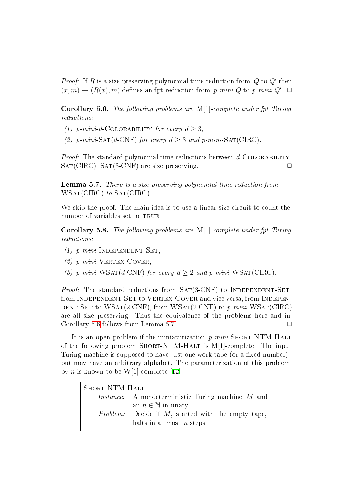*Proof:* If R is a size-preserving polynomial time reduction from  $Q$  to  $Q'$  then  $(x, m) \mapsto (R(x), m)$  defines an fpt-reduction from p-mini-Q to p-mini-Q'.  $\Box$ 

<span id="page-20-0"></span>Corollary 5.6. The following problems are M[1]-complete under fpt Turing reductions:

- (1) p-mini-d-COLORABILITY for every  $d \geq 3$ ,
- (2) p-mini-SAT(d-CNF) for every  $d \geq 3$  and p-mini-SAT(CIRC).

*Proof:* The standard polynomial time reductions between  $d$ -COLORABILITY.  $SAT(CIRC)$ ,  $SAT(3-CNF)$  are size preserving.

<span id="page-20-1"></span>Lemma 5.7. There is a size preserving polynomial time reduction from WSAT(CIRC) to SAT(CIRC).

We skip the proof. The main idea is to use a linear size circuit to count the number of variables set to TRUE.

<span id="page-20-2"></span>Corollary 5.8. The following problems are M[1]-complete under fpt Turing reductions:

- (1)  $p$ -mini-INDEPENDENT-SET,
- (2)  $p-mini$ -VERTEX-COVER,
- (3) p-mini-WSAT(d-CNF) for every  $d \geq 2$  and p-mini-WSAT(CIRC).

*Proof:* The standard reductions from  $SAT(3-CNF)$  to INDEPENDENT-SET. from INDEPENDENT-SET to VERTEX-COVER and vice versa, from INDEPEN-DENT-SET to WSAT $(2$ -CNF), from WSAT $(2$ -CNF) to p-mini-WSAT $(CIRC)$ are all size preserving. Thus the equivalence of the problems here and in Corollary [5.6](#page-20-0) follows from Lemma [5.7.](#page-20-1)  $\Box$ 

It is an open problem if the miniaturization  $p\text{-}min\text{-} \text{SHORT-NTM-HALT}$ of the following problem SHORT-NTM-HALT is M[1]-complete. The input Turing machine is supposed to have just one work tape (or a fixed number), but may have an arbitrary alphabet. The parameterization of this problem by *n* is known to be W[1]-complete [[12\]](#page-29-9).

| SHORT-NTM-HALT |                                                           |  |
|----------------|-----------------------------------------------------------|--|
|                | <i>Instance:</i> A nondeterministic Turing machine M and  |  |
|                | an $n \in \mathbb{N}$ in unary.                           |  |
|                | <i>Problem:</i> Decide if M, started with the empty tape, |  |
|                | halts in at most $n$ steps.                               |  |
|                |                                                           |  |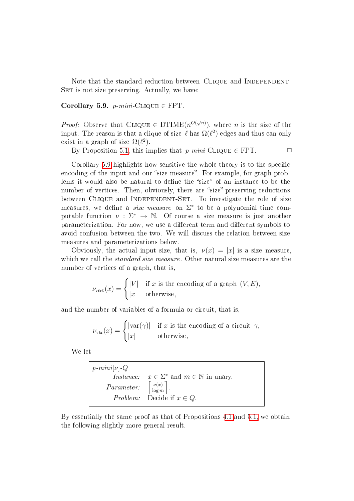Note that the standard reduction between CLIQUE and INDEPENDENT-SET is not size preserving. Actually, we have:

<span id="page-21-0"></span>Corollary 5.9.  $p\text{-}min\text{-}CLIQUE \in FPT$ .

*Proof:* Observe that CLIQUE  $\in$  DTIME $(n^{O(\sqrt{n})})$ , where *n* is the size of the input. The reason is that a clique of size  $\ell$  has  $\Omega(\ell^2)$  edges and thus can only exist in a graph of size  $\Omega(\ell^2)$ .

By Proposition [5.1,](#page-17-1) this implies that  $p\text{-}min\text{-}\text{CLIQUE} \in \text{FPT}.$ 

Corollary [5.9](#page-21-0) highlights how sensitive the whole theory is to the specific encoding of the input and our "size measure". For example, for graph problems it would also be natural to define the "size" of an instance to be the number of vertices. Then, obviously, there are "size"-preserving reductions between CLIQUE and INDEPENDENT-SET. To investigate the role of size measures, we define a *size measure* on  $\Sigma^*$  to be a polynomial time computable function  $\nu : \Sigma^* \to \mathbb{N}$ . Of course a size measure is just another parameterization. For now, we use a different term and different symbols to avoid confusion between the two. We will discuss the relation between size measures and parameterizations below.

Obviously, the actual input size, that is,  $\nu(x) = |x|$  is a size measure, which we call the *standard size measure*. Other natural size measures are the number of vertices of a graph, that is,

$$
\nu_{\text{vert}}(x) = \begin{cases} |V| & \text{if } x \text{ is the encoding of a graph } (V, E), \\ |x| & \text{otherwise,} \end{cases}
$$

and the number of variables of a formula or circuit, that is,

$$
\nu_{\text{var}}(x) = \begin{cases} |\text{var}(\gamma)| & \text{if } x \text{ is the encoding of a circuit } \gamma, \\ |x| & \text{otherwise,} \end{cases}
$$

We let

$$
p\text{-}min[i\vee]\text{-}Q
$$
  
Instance:  $x \in \Sigma^*$  and  $m \in \mathbb{N}$  in unary.  
  
*Parameter:*  $\begin{bmatrix} \frac{\nu(x)}{\log m} \\ \text{or} \end{bmatrix}$ .  
  
*Problem:* Decide if  $x \in Q$ .

<span id="page-21-1"></span>By essentially the same proof as that of Propositions [4.1](#page-11-0) and [5.1,](#page-17-1) we obtain the following slightly more general result.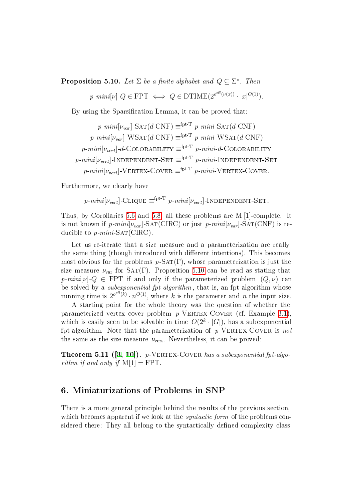**Proposition 5.10.** Let  $\Sigma$  be a finite alphabet and  $Q \subseteq \Sigma^*$ . Then

$$
p\text{-}min[v] \cdot Q \in \text{FPT} \iff Q \in \text{DTIME}(2^{o^{eff}(\nu(x))} \cdot |x|^{O(1)}).
$$

By using the Sparsification Lemma, it can be proved that:

$$
p\text{-}min[i_{\text{var}}]\text{-SAT}(d\text{-CNF}) \equiv^{\text{fpt-T}} p\text{-}min\text{-SAT}(d\text{-CNF})
$$
\n
$$
p\text{-}min[i_{\text{var}}]\text{-WSAT}(d\text{-CNF}) \equiv^{\text{fpt-T}} p\text{-}min\text{-WSAT}(d\text{-CNF})
$$
\n
$$
p\text{-}min[i_{\text{vert}}]\text{-}d\text{-}\text{COLORABILITY} \equiv^{\text{fpt-T}} p\text{-}min\text{-}d\text{-}\text{COLORABILITY}
$$
\n
$$
p\text{-}min[i_{\text{vert}}]\text{-}\text{INDEPENDENT-SET} \equiv^{\text{fpt-T}} p\text{-}min\text{-}N\text{DEPENDENT-SET}
$$
\n
$$
p\text{-}min[i_{\text{vert}}]\text{-}\text{VERTEX-CoverR} \equiv^{\text{fpt-T}} p\text{-}min\text{-}N\text{ERTEX-CoverR}.
$$

Furthermore, we clearly have

 $p\text{-}mini[\nu_{vert}]$ -Clique  $\equiv^{\text{fpt-T}} p\text{-}mini[\nu_{vert}]$ -Independent-Set.

Thus, by Corollaries [5.6](#page-20-0) and [5.8,](#page-20-2) all these problems are M [1]-complete. It is not known if  $p\text{-}min[*v*<sub>var</sub>] - SAT(CIRC)$  or just  $p\text{-}min[*v*<sub>var</sub>] - SAT(CNF)$  is reducible to  $p\text{-}mini\text{-}SAT(CIRC)$ .

Let us re-iterate that a size measure and a parameterization are really the same thing (though introduced with different intentions). This becomes most obvious for the problems  $p$ -SAT(Γ), whose parameterization is just the size measure  $\nu_{var}$  for SAT(Γ). Proposition [5.10](#page-21-1) can be read as stating that p-mini[v]- $Q \in \text{FPT}$  if and only if the parameterized problem  $(Q, \nu)$  can be solved by a subexponential fpt-algorithm , that is, an fpt-algorithm whose running time is  $2^{o^{eff}(k)} \cdot n^{O(1)}$ , where k is the parameter and n the input size.

A starting point for the whole theory was the question of whether the parameterized vertex cover problem  $p$ -VERTEX-COVER (cf. Example [3.1\)](#page-5-0), which is easily seen to be solvable in time  $O(2^k \cdot |G|)$ , has a subexponential fpt-algorithm. Note that the parameterization of  $p$ -VERTEX-COVER is not the same as the size measure  $\nu_{\text{vert}}$ . Nevertheless, it can be proved:

**Theorem 5.11 ([[3,](#page-28-1) [10\]](#page-29-7)).**  $p$ -VERTEX-COVER has a subexponential fpt-algorithm if and only if  $M[1] = FPT$ .

# <span id="page-22-0"></span>6. Miniaturizations of Problems in SNP

There is a more general principle behind the results of the previous section, which becomes apparent if we look at the *syntactic form* of the problems considered there: They all belong to the syntactically defined complexity class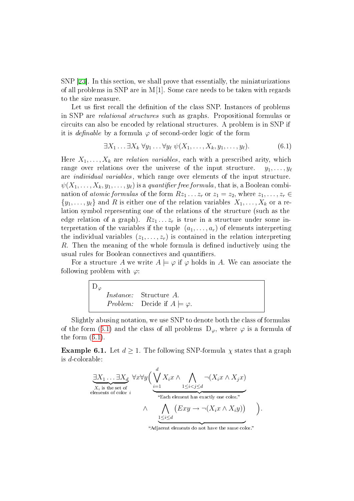SNP [\[23\]](#page-30-5). In this section, we shall prove that essentially, the miniaturizations of all problems in SNP are in  $M[1]$ . Some care needs to be taken with regards to the size measure.

Let us first recall the definition of the class SNP. Instances of problems in SNP are relational structures such as graphs. Propositional formulas or circuits can also be encoded by relational structures. A problem is in SNP if it is *definable* by a formula  $\varphi$  of second-order logic of the form

<span id="page-23-0"></span>
$$
\exists X_1 \dots \exists X_k \,\forall y_1 \dots \forall y_\ell \,\psi(X_1, \dots, X_k, y_1, \dots, y_\ell).
$$
 (6.1)

Here  $X_1, \ldots, X_k$  are *relation variables*, each with a prescribed arity, which range over relations over the universe of the input structure.  $y_1, \ldots, y_\ell$ are individual variables, which range over elements of the input structure.  $\psi(X_1, \ldots, X_k, y_1, \ldots, y_\ell)$  is a quantifier free formula, that is, a Boolean combination of atomic formulas of the form  $Rz_1 \ldots z_r$  or  $z_1 = z_2$ , where  $z_1, \ldots, z_r \in$  $\{y_1, \ldots, y_\ell\}$  and R is either one of the relation variables  $X_1, \ldots, X_k$  or a relation symbol representing one of the relations of the structure (such as the edge relation of a graph).  $Rz_1 \ldots z_r$  is true in a structure under some interpretation of the variables if the tuple  $(a_1, \ldots, a_r)$  of elements interpreting the individual variables  $(z_1, \ldots, z_r)$  is contained in the relation interpreting  $R$ . Then the meaning of the whole formula is defined inductively using the usual rules for Boolean connectives and quantifiers.

For a structure A we write  $A \models \varphi$  if  $\varphi$  holds in A. We can associate the following problem with  $\varphi$ :

$$
\begin{array}{|l|}\nD_{\varphi} & \text{Instance:} & \text{Structure } A. \\
\hline\n\text{Problem:} & \text{Decide if } A \models \varphi.\n\end{array}
$$

Slightly abusing notation, we use SNP to denote both the class of formulas of the form ([6.1\)](#page-23-0) and the class of all problems  $D_{\varphi}$ , where  $\varphi$  is a formula of the form  $(6.1)$  $(6.1)$ .

<span id="page-23-1"></span>**Example 6.1.** Let  $d \ge 1$ . The following SNP-formula  $\chi$  states that a graph is d-colorable:

$$
\underbrace{\exists X_1 \dots \exists X_d}_{\text{elements of color } i} \forall x \forall y \Big( \underbrace{\bigvee_{i=1}^d X_i x \wedge \bigwedge_{1 \leq i < j \leq d} \neg (X_i x \wedge X_j x)}_{\text{``Each element has exactly one color."}} + \bigwedge_{1 \leq i \leq d} \underbrace{(Exy \rightarrow \neg (X_i x \wedge X_i y))}_{\text{1} \leq i \leq d} \Big).
$$

"Adjacent elements do not have the same color."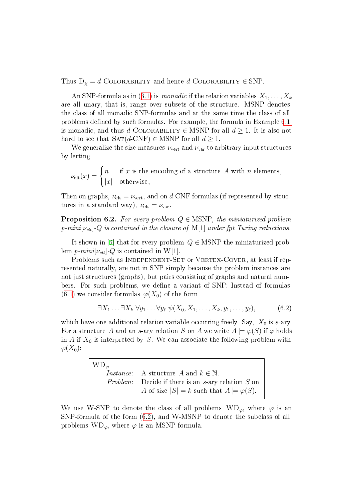Thus  $D_{\chi} = d$ -COLORABILITY and hence  $d$ -COLORABILITY  $\in$  SNP.

An SNP-formula as in ([6.1\)](#page-23-0) is *monadic* if the relation variables  $X_1, \ldots, X_k$ are all unary, that is, range over subsets of the structure. MSNP denotes the class of all monadic SNP-formulas and at the same time the class of all problems defined by such formulas. For example, the formula in Example [6.1](#page-23-1) is monadic, and thus d-COLORABILITY  $\in$  MSNP for all  $d \geq 1$ . It is also not hard to see that  $SAT(d-CNF) \in MSNP$  for all  $d \geq 1$ .

We generalize the size measures  $\nu_{\text{vert}}$  and  $\nu_{\text{var}}$  to arbitrary input structures by letting

$$
\nu_{\text{elt}}(x) = \begin{cases} n & \text{if } x \text{ is the encoding of a structure } A \text{ with } n \text{ elements,} \\ |x| & \text{otherwise,} \end{cases}
$$

Then on graphs,  $\nu_{\text{elt}} = \nu_{\text{vert}}$ , and on d-CNF-formulas (if represented by structures in a standard way),  $\nu_{\text{elt}} = \nu_{\text{var}}$ .

<span id="page-24-1"></span>**Proposition 6.2.** For every problem  $Q \in \text{MSNP}$ , the miniaturized problem  $p\text{-}min[\nu_{\text{elt}}]$  -Q is contained in the closure of M[1] under fpt Turing reductions.

It shown in [[6\]](#page-28-4) that for every problem  $Q \in MSNP$  the miniaturized problem  $p\text{-}mini[\nu_{\text{elt}}]$ -Q is contained in W[1].

Problems such as INDEPENDENT-SET or VERTEX-COVER, at least if represented naturally, are not in SNP simply because the problem instances are not just structures (graphs), but pairs consisting of graphs and natural numbers. For such problems, we define a variant of SNP: Instead of formulas  $(6.1)$  $(6.1)$  we consider formulas  $\varphi(X_0)$  of the form

<span id="page-24-0"></span>
$$
\exists X_1 \ldots \exists X_k \ \forall y_1 \ldots \forall y_\ell \ \psi(X_0, X_1, \ldots, X_k, y_1, \ldots, y_\ell), \tag{6.2}
$$

which have one additional relation variable occurring freely. Say,  $X_0$  is s-ary. For a structure A and an s-ary relation S on A we write  $A \models \varphi(S)$  if  $\varphi$  holds in A if  $X_0$  is interpreted by S. We can associate the following problem with  $\varphi(X_0)$ :

> $WD_{\varphi}$ *Instance:* A structure A and  $k \in \mathbb{N}$ . Problem: Decide if there is an s-ary relation S on A of size  $|S| = k$  such that  $A \models \varphi(S)$ .

We use W-SNP to denote the class of all problems  $WD_{\varphi}$ , where  $\varphi$  is an SNP-formula of the form ([6.2\)](#page-24-0), and W-MSNP to denote the subclass of all problems  $WD_{\varphi}$ , where  $\varphi$  is an MSNP-formula.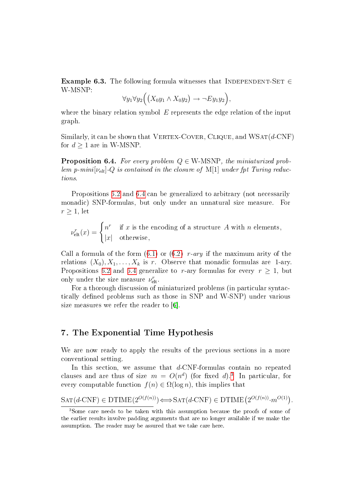**Example 6.3.** The following formula witnesses that INDEPENDENT-SET  $\in$ W-MSNP:

$$
\forall y_1 \forall y_2 \Big( \big( X_0 y_1 \wedge X_0 y_2 \big) \rightarrow \neg Ey_1 y_2 \Big),
$$

where the binary relation symbol  $E$  represents the edge relation of the input graph.

Similarly, it can be shown that VERTEX-COVER, CLIQUE, and  $WSAT(d-CNF)$ for  $d \geq 1$  are in W-MSNP.

<span id="page-25-1"></span>**Proposition 6.4.** For every problem  $Q \in W$ -MSNP, the miniaturized problem p-mini $[\nu_{\text{elt}}]$ -Q is contained in the closure of M[1] under fpt Turing reductions.

Propositions [6.2](#page-24-1) and [6.4](#page-25-1) can be generalized to arbitrary (not necessarily monadic) SNP-formulas, but only under an unnatural size measure. For  $r \geq 1$ , let

 $\nu_{\rm e}^r$  $e_{\text{elt}}^r(x) = \begin{cases} n^r & \text{if } x \text{ is the encoding of a structure } A \text{ with } n \text{ elements,} \\ \text{let } \text{ otherwise.} \end{cases}$  $|x|$  otherwise,

Call a formula of the form  $(6.1)$  $(6.1)$  or  $(6.2)$  $(6.2)$  r-ary if the maximum arity of the relations  $(X_0), X_1, \ldots, X_k$  is r. Observe that monadic formulas are 1-ary. Propositions [6.2](#page-24-1) and [6.4](#page-25-1) generalize to r-ary formulas for every  $r \geq 1$ , but only under the size measure  $\nu_{\text{elt}}^r$ .

For a thorough discussion of miniaturized problems (in particular syntactically defined problems such as those in SNP and W-SNP) under various size measures we refer the reader to [[6\]](#page-28-4).

# <span id="page-25-0"></span>7. The Exponential Time Hypothesis

We are now ready to apply the results of the previous sections in a more conventional setting.

In this section, we assume that d-CNF-formulas contain no repeated clauses and are thus of size  $m = O(n^d)$  (for fixed d).<sup>[3](#page-25-2)</sup> In particular, for every computable function  $f(n) \in \Omega(\log n)$ , this implies that

$$
SAT(d-CNF) \in DTIME(2^{O(f(n))}) \Longleftrightarrow SAT(d-CNF) \in DTIME(2^{O(f(n))} \cdot m^{O(1)}).
$$

<span id="page-25-2"></span><sup>3</sup>Some care needs to be taken with this assumption because the proofs of some of the earlier results involve padding arguments that are no longer available if we make the assumption. The reader may be assured that we take care here.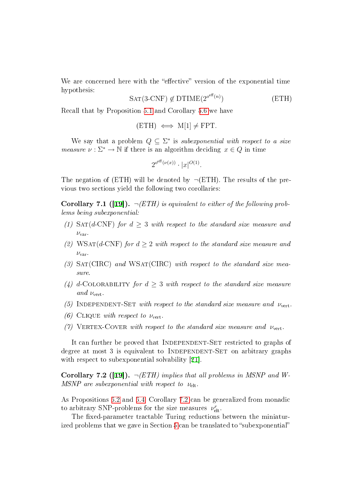We are concerned here with the "effective" version of the exponential time hypothesis:

$$
SAT(3-CNF) \notin DTIME(2^{o^{eff}(n)})
$$
 (ETH)

Recall that by Proposition [5.1](#page-17-1) and Corollary [5.6](#page-20-0) we have

$$
(ETH) \iff M[1] \neq FPT.
$$

We say that a problem  $Q \subseteq \Sigma^*$  is subexponential with respect to a size *measure*  $\nu : \Sigma^* \to \mathbb{N}$  if there is an algorithm deciding  $x \in Q$  in time

$$
2^{o^{eff}(\nu(x))} \cdot |x|^{O(1)}
$$
.

The negation of  $(ETH)$  will be denoted by  $\neg (ETH)$ . The results of the previous two sections yield the following two corollaries:

<span id="page-26-1"></span>**Corollary 7.1 ([[19\]](#page-29-5)).**  $\neg$ (*ETH*) is equivalent to either of the following problems being subexponential:

- (1) SAT(d-CNF) for  $d \geq 3$  with respect to the standard size measure and  $\nu_{\rm var}$ .
- (2) WSAT(d-CNF) for  $d > 2$  with respect to the standard size measure and  $\nu_{\rm var}$ .
- (3)  $SAT(CIRC)$  and  $WSAT(CIRC)$  with respect to the standard size measure.
- (4) d-COLORABILITY for  $d > 3$  with respect to the standard size measure and  $\nu_{\text{vert}}$ .
- (5) INDEPENDENT-SET with respect to the standard size measure and  $\nu_{\text{vert}}$ .
- (6) CLIQUE with respect to  $\nu_{\text{vert}}$ .
- (7) VERTEX-COVER with respect to the standard size measure and  $\nu_{\text{vert}}$ .

It can further be proved that INDEPENDENT-SET restricted to graphs of degree at most 3 is equivalent to INDEPENDENT-SET on arbitrary graphs with respect to subexponential solvability [[21\]](#page-29-13).

<span id="page-26-0"></span>Corollary 7.2 ([[19\]](#page-29-5)).  $\neg(ETH)$  implies that all problems in MSNP and W-MSNP are subexponential with respect to  $\nu_{\text{elt}}$ .

As Propositions [6.2](#page-24-1) and [6.4,](#page-25-1) Corollary [7.2](#page-26-0) can be generalized from monadic to arbitrary SNP-problems for the size measures  $\nu_{\text{elt}}^r$ .

The fixed-parameter tractable Turing reductions between the miniatur-ized problems that we gave in Section [5](#page-17-0) can be translated to "subexponential"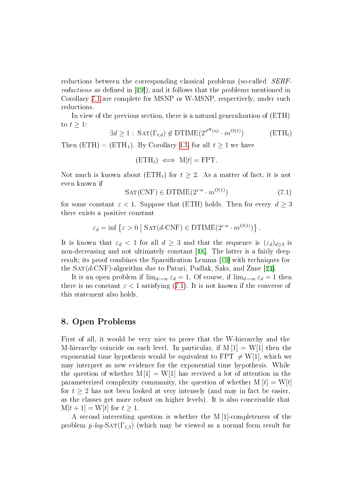reductions between the corresponding classical problems (so-called SERFreductions as defined in  $[19]$ , and it follows that the problems mentioned in Corollary [7.1](#page-26-1) are complete for MSNP or W-MSNP, respectively, under such reductions.

In view of the previous section, there is a natural generalization of (ETH) to  $t \geq 1$ :

$$
\exists d \ge 1 : \, \text{SAT}(\Gamma_{t,d}) \notin \text{DTIME}(2^{o^{eff}(n)} \cdot m^{O(1)}) \tag{ETH}_t
$$

Then  $(ETH) = (ETH<sub>1</sub>)$ . By Corollary [4.3,](#page-13-2) for all  $t \ge 1$  we have

$$
(\mathrm{ETH}_t) \iff M[t] = \mathrm{FPT}.
$$

Not much is known about  $(ETH<sub>t</sub>)$  for  $t \geq 2$ . As a matter of fact, it is not even known if

<span id="page-27-0"></span>
$$
SAT(CNF) \in DTIME(2^{\varepsilon \cdot n} \cdot m^{O(1)})
$$
\n(7.1)

for some constant  $\varepsilon < 1$ . Suppose that (ETH) holds. Then for every  $d \geq 3$ there exists a positive constant

$$
\varepsilon_d = \inf \left\{ \varepsilon > 0 \mid \text{SAT}(d\text{-CNF}) \in \text{DTIME}(2^{\varepsilon \cdot n} \cdot m^{O(1)}) \right\}.
$$

It is known that  $\varepsilon_d < 1$  for all  $d \geq 3$  and that the sequence is  $(\varepsilon_d)_{d \geq 3}$  is non-decreasing and not ultimately constant [[18\]](#page-29-6). The latter is a fairly deep result; its proof combines the Sparsification Lemma [[19\]](#page-29-5) with techniques for the  $SAT(d-CNF)$ -algorithm due to Paturi, Pudlak, Saks, and Zane [[24\]](#page-30-1).

It is an open problem if  $\lim_{d\to\infty} \varepsilon_d = 1$ . Of course, if  $\lim_{d\to\infty} \varepsilon_d = 1$  then there is no constant  $\varepsilon < 1$  satisfying ([7.1\)](#page-27-0). It is not known if the converse of this statement also holds.

## 8. Open Problems

First of all, it would be very nice to prove that the W-hierarchy and the M-hierarchy coincide on each level. In particular, if  $M[1] = W[1]$  then the exponential time hypothesis would be equivalent to FPT  $\neq$  W[1], which we may interpret as new evidence for the exponential time hypothesis. While the question of whether  $M[1] = W[1]$  has received a lot of attention in the parameterized complexity community, the question of whether  $M[t] = W[t]$ for  $t \geq 2$  has not been looked at very intensely (and may in fact be easier, as the classes get more robust on higher levels). It is also conceivable that  $M[t+1] = W[t]$  for  $t \geq 1$ .

A second interesting question is whether the M [1]-completeness of the problem  $p\text{-}log\text{-}SAT(\Gamma_{1,3})$  (which may be viewed as a normal form result for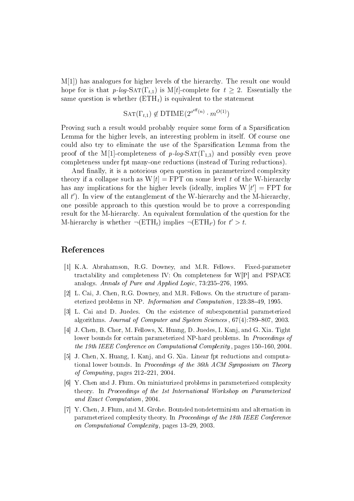M[1]) has analogues for higher levels of the hierarchy. The result one would hope for is that  $p\text{-}log-SAT(\Gamma_{t,1})$  is M[t]-complete for  $t \geq 2$ . Essentially the same question is whether  $(ETH<sub>t</sub>)$  is equivalent to the statement

$$
SAT(\Gamma_{t,1}) \notin DTIME(2^{o^{eff}(n)} \cdot m^{O(1)})
$$

Proving such a result would probably require some form of a Sparsification Lemma for the higher levels, an interesting problem in itself. Of course one could also try to eliminate the use of the Sparsification Lemma from the proof of the M[1]-completeness of  $p\text{-}log\text{-}SAT(\Gamma_{1,3})$  and possibly even prove completeness under fpt many-one reductions (instead of Turing reductions).

And finally, it is a notorious open question in parameterized complexity theory if a collapse such as  $W[t] = FPT$  on some level t of the W-hierarchy has any implications for the higher levels (ideally, implies  $W[t'] = FPT$  for all  $t'$ ). In view of the entanglement of the W-hierarchy and the M-hierarchy, one possible approach to this question would be to prove a corresponding result for the M-hierarchy. An equivalent formulation of the question for the M-hierarchy is whether  $\neg(\text{ETH}_t)$  implies  $\neg(\text{ETH}_{t'})$  for  $t' > t$ .

#### References

- <span id="page-28-0"></span>[1] K.A. Abrahamson, R.G. Downey, and M.R. Fellows. Fixed-parameter tractability and completeness IV: On completeness for W[P] and PSPACE analogs. Annals of Pure and Applied Logic, 73:235-276, 1995.
- <span id="page-28-5"></span>[2] L. Cai, J. Chen, R.G. Downey, and M.R. Fellows. On the structure of parameterized problems in NP. Information and Computation, 123:38-49, 1995.
- <span id="page-28-1"></span>[3] L. Cai and D. Juedes. On the existence of subexponential parameterized algorithms. Journal of Computer and System Sciences,  $67(4)$ :789-807, 2003.
- <span id="page-28-2"></span>[4] J. Chen, B. Chor, M. Fellows, X. Huang, D. Juedes, I. Kanj, and G. Xia. Tight lower bounds for certain parameterized NP-hard problems. In *Proceedings of* the 19th IEEE Conference on Computational Complexity, pages  $150-160$ , 2004.
- <span id="page-28-3"></span>[5] J. Chen, X. Huang, I. Kanj, and G. Xia. Linear fpt reductions and computational lower bounds. In Proceedings of the 36th ACM Symposium on Theory of Computing, pages  $212-221$ ,  $2004$ .
- <span id="page-28-4"></span>[6] Y. Chen and J. Flum. On miniaturized problems in parameterized complexity theory. In Proceedings of the 1st International Workshop on Parameterized and Exact Computation, 2004.
- <span id="page-28-6"></span>[7] Y. Chen, J. Flum, and M. Grohe. Bounded nondeterminism and alternation in parameterized complexity theory. In Proceedings of the 18th IEEE Conference on Computational Complexity, pages 13-29, 2003.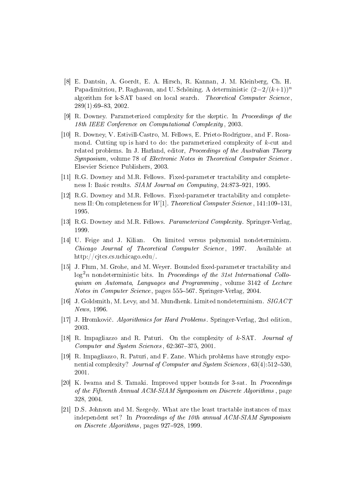- <span id="page-29-2"></span>[8] E. Dantsin, A. Goerdt, E. A. Hirsch, R. Kannan, J. M. Kleinberg, Ch. H. Papadimitriou, P. Raghavan, and U. Schöning. A deterministic  $(2-2/(k+1))^n$ algorithm for k-SAT based on local search. Theoretical Computer Science.  $289(1):69-83, 2002.$
- <span id="page-29-8"></span>[9] R. Downey. Parameterized complexity for the skeptic. In Proceedings of the 18th IEEE Conference on Computational Complexity , 2003.
- <span id="page-29-7"></span>[10] R. Downey, V. Estivill-Castro, M. Fellows, E. Prieto-Rodriguez, and F. Rosamond. Cutting up is hard to do: the parameterized complexity of  $k$ -cut and related problems. In J. Harland, editor, *Proceedings of the Australian Theory* Symposium, volume 78 of Electronic Notes in Theoretical Computer Science . Elsevier Science Publishers, 2003.
- <span id="page-29-10"></span>[11] R.G. Downey and M.R. Fellows. Fixed-parameter tractability and completeness I: Basic results. SIAM Journal on Computing, 24:873-921, 1995.
- <span id="page-29-9"></span>[12] R.G. Downey and M.R. Fellows. Fixed-parameter tractability and completeness II: On completeness for  $W[1]$ . Theoretical Computer Science, 141:109-131, 1995.
- <span id="page-29-0"></span>[13] R.G. Downey and M.R. Fellows. Parameterized Complexity. Springer-Verlag, 1999.
- <span id="page-29-4"></span>[14] U. Feige and J. Kilian. On limited versus polynomial nondeterminism. Chicago Journal of Theoretical Computer Science , 1997. Available at http://cjtcs.cs.uchicago.edu/.
- <span id="page-29-12"></span>[15] J. Flum, M. Grohe, and M. Weyer. Bounded fixed-parameter tractability and  $\log^2 n$  nondeterministic bits. In Proceedings of the 31st International Colloquium on Automata, Languages and Programming , volume 3142 of Lecture Notes in Computer Science, pages 555–567. Springer-Verlag, 2004.
- <span id="page-29-11"></span>[16] J. Goldsmith, M. Levy, and M. Mundhenk. Limited nondeterminism. SIGACT News, 1996.
- <span id="page-29-1"></span>[17] J. Hromkovič. Algorithmics for Hard Problems. Springer-Verlag, 2nd edition, 2003.
- <span id="page-29-6"></span>[18] R. Impagliazzo and R. Paturi. On the complexity of k-SAT. Journal of  $Computer and System Sciences, 62:367-375, 2001.$
- <span id="page-29-5"></span>[19] R. Impagliazzo, R. Paturi, and F. Zane. Which problems have strongly exponential complexity? Journal of Computer and System Sciences, 63(4):512-530. 2001.
- <span id="page-29-3"></span>[20] K. Iwama and S. Tamaki. Improved upper bounds for 3-sat. In Proceedings of the Fifteenth Annual ACM-SIAM Symposium on Discrete Algorithms , page 328, 2004.
- <span id="page-29-13"></span>[21] D.S. Johnson and M. Szegedy. What are the least tractable instances of max independent set? In Proceedings of the 10th annual ACM-SIAM Symposium on Discrete Algorithms, pages 927–928, 1999.